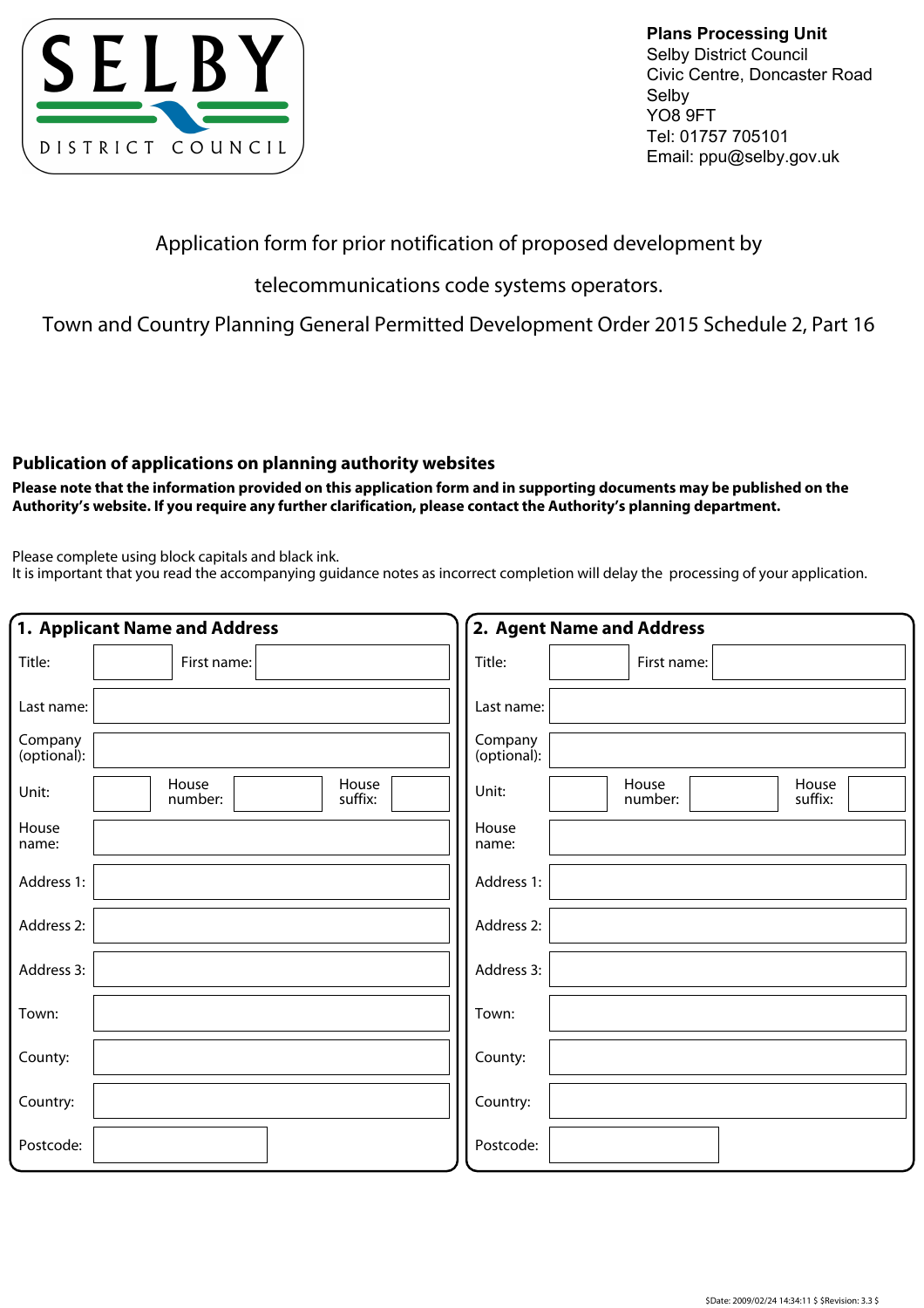

**Plans Processing Unit** Selby District Council Civic Centre, Doncaster Road Selby YO8 9FT Tel: 01757 705101 Email: ppu@selby.gov.uk

## Application form for prior notification of proposed development by

telecommunications code systems operators.

Town and Country Planning General Permitted Development Order 2015 Schedule 2, Part 16

## **Publication of applications on planning authority websites**

**Please note that the information provided on this application form and in supporting documents may be published on the Authority's website. If you require any further clarification, please contact the Authority's planning department.**

Please complete using block capitals and black ink.

It is important that you read the accompanying guidance notes as incorrect completion will delay the processing of your application.

|                        | 1. Applicant Name and Address        | 2. Agent Name and Address                     |
|------------------------|--------------------------------------|-----------------------------------------------|
| Title:                 | First name:                          | Title:<br>First name:                         |
| Last name:             |                                      | Last name:                                    |
| Company<br>(optional): |                                      | Company<br>(optional):                        |
| Unit:                  | House<br>House<br>suffix:<br>number: | House<br>House<br>Unit:<br>number:<br>suffix: |
| House<br>name:         |                                      | House<br>name:                                |
| Address 1:             |                                      | Address 1:                                    |
| Address 2:             |                                      | Address 2:                                    |
| Address 3:             |                                      | Address 3:                                    |
| Town:                  |                                      | Town:                                         |
| County:                |                                      | County:                                       |
| Country:               |                                      | Country:                                      |
| Postcode:              |                                      | Postcode:                                     |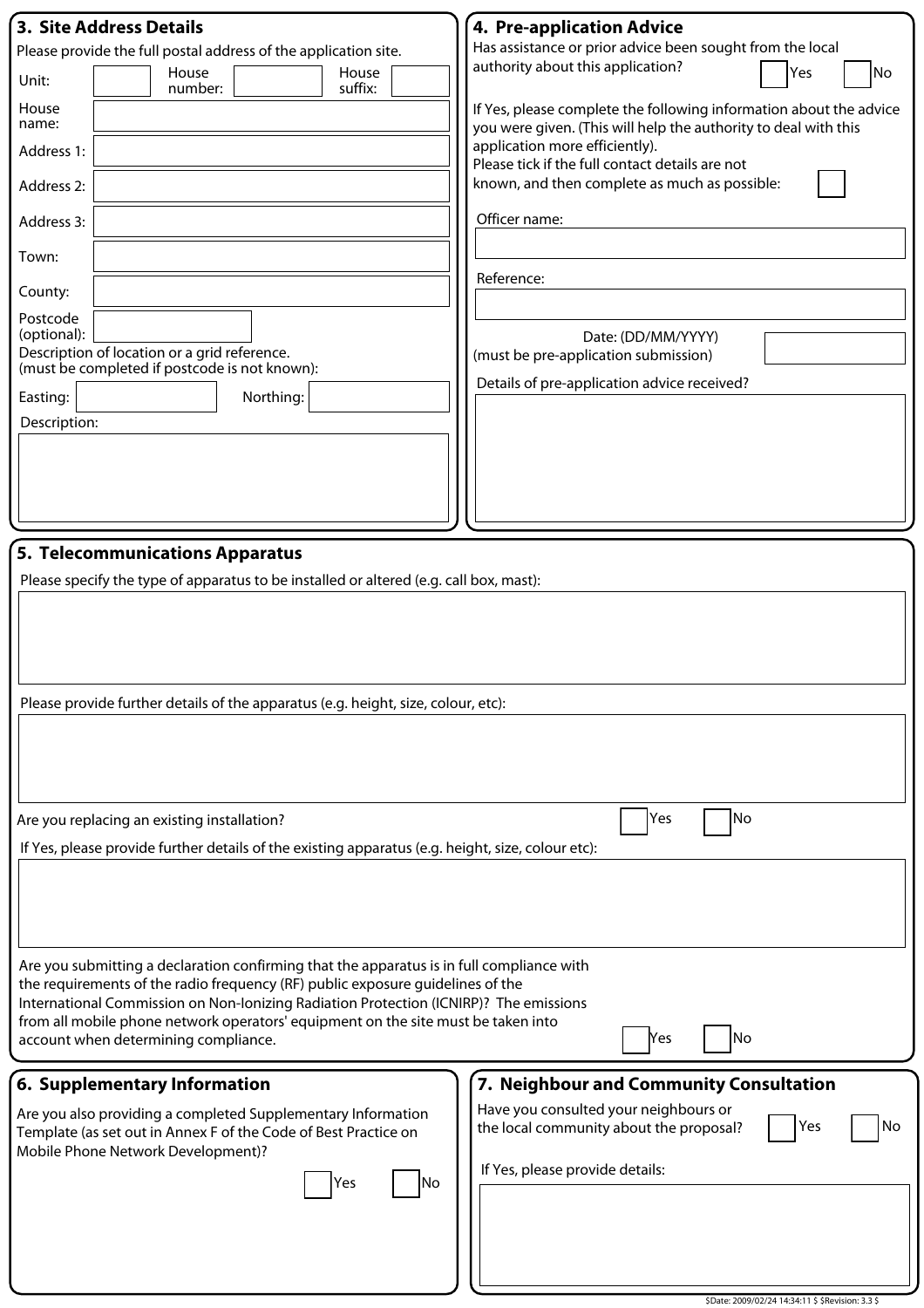| <b>3. Site Address Details</b>                                                                                                                                             | 4. Pre-application Advice                                                                                                             |  |  |
|----------------------------------------------------------------------------------------------------------------------------------------------------------------------------|---------------------------------------------------------------------------------------------------------------------------------------|--|--|
| Please provide the full postal address of the application site.                                                                                                            | Has assistance or prior advice been sought from the local<br>authority about this application?                                        |  |  |
| House<br>House<br>Unit:<br>suffix:<br>number:                                                                                                                              | Yes<br>No                                                                                                                             |  |  |
| House<br>name:                                                                                                                                                             | If Yes, please complete the following information about the advice<br>you were given. (This will help the authority to deal with this |  |  |
| Address 1:                                                                                                                                                                 | application more efficiently).<br>Please tick if the full contact details are not                                                     |  |  |
| Address 2:                                                                                                                                                                 | known, and then complete as much as possible:                                                                                         |  |  |
| Address 3:                                                                                                                                                                 | Officer name:                                                                                                                         |  |  |
| Town:                                                                                                                                                                      | Reference:                                                                                                                            |  |  |
| County:                                                                                                                                                                    |                                                                                                                                       |  |  |
| Postcode<br>(optional):                                                                                                                                                    | Date: (DD/MM/YYYY)                                                                                                                    |  |  |
| Description of location or a grid reference.                                                                                                                               | (must be pre-application submission)                                                                                                  |  |  |
| (must be completed if postcode is not known):<br>Northing:<br>Easting:                                                                                                     | Details of pre-application advice received?                                                                                           |  |  |
| Description:                                                                                                                                                               |                                                                                                                                       |  |  |
|                                                                                                                                                                            |                                                                                                                                       |  |  |
|                                                                                                                                                                            |                                                                                                                                       |  |  |
|                                                                                                                                                                            |                                                                                                                                       |  |  |
|                                                                                                                                                                            |                                                                                                                                       |  |  |
| 5. Telecommunications Apparatus                                                                                                                                            |                                                                                                                                       |  |  |
| Please specify the type of apparatus to be installed or altered (e.g. call box, mast):                                                                                     |                                                                                                                                       |  |  |
|                                                                                                                                                                            |                                                                                                                                       |  |  |
|                                                                                                                                                                            |                                                                                                                                       |  |  |
|                                                                                                                                                                            |                                                                                                                                       |  |  |
| Please provide further details of the apparatus (e.g. height, size, colour, etc):                                                                                          |                                                                                                                                       |  |  |
|                                                                                                                                                                            |                                                                                                                                       |  |  |
|                                                                                                                                                                            |                                                                                                                                       |  |  |
|                                                                                                                                                                            |                                                                                                                                       |  |  |
| Are you replacing an existing installation?                                                                                                                                | Yes<br> No                                                                                                                            |  |  |
| If Yes, please provide further details of the existing apparatus (e.g. height, size, colour etc):                                                                          |                                                                                                                                       |  |  |
|                                                                                                                                                                            |                                                                                                                                       |  |  |
|                                                                                                                                                                            |                                                                                                                                       |  |  |
|                                                                                                                                                                            |                                                                                                                                       |  |  |
| Are you submitting a declaration confirming that the apparatus is in full compliance with                                                                                  |                                                                                                                                       |  |  |
| the requirements of the radio frequency (RF) public exposure guidelines of the                                                                                             |                                                                                                                                       |  |  |
| International Commission on Non-Ionizing Radiation Protection (ICNIRP)? The emissions<br>from all mobile phone network operators' equipment on the site must be taken into |                                                                                                                                       |  |  |
| account when determining compliance.                                                                                                                                       | No<br>lYes                                                                                                                            |  |  |
|                                                                                                                                                                            |                                                                                                                                       |  |  |
| 6. Supplementary Information                                                                                                                                               | 7. Neighbour and Community Consultation<br>Have you consulted your neighbours or                                                      |  |  |
| Are you also providing a completed Supplementary Information<br>Template (as set out in Annex F of the Code of Best Practice on<br>Mobile Phone Network Development)?      | Yes<br>No<br>the local community about the proposal?                                                                                  |  |  |
| lNo<br>Yes                                                                                                                                                                 | If Yes, please provide details:                                                                                                       |  |  |
|                                                                                                                                                                            |                                                                                                                                       |  |  |
|                                                                                                                                                                            |                                                                                                                                       |  |  |
|                                                                                                                                                                            |                                                                                                                                       |  |  |
|                                                                                                                                                                            |                                                                                                                                       |  |  |

\$Date: 2009/02/24 14:34:11 \$ \$Revision: 3.3 \$